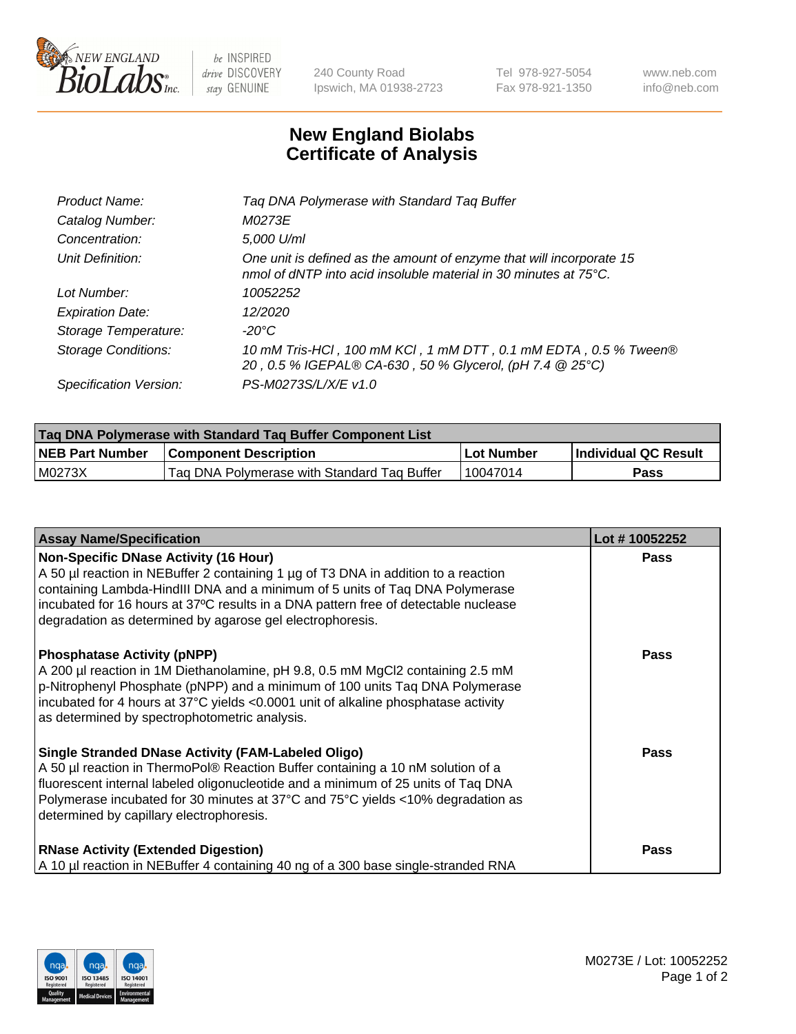

 $be$  INSPIRED drive DISCOVERY stay GENUINE

240 County Road Ipswich, MA 01938-2723 Tel 978-927-5054 Fax 978-921-1350 www.neb.com info@neb.com

## **New England Biolabs Certificate of Analysis**

| Product Name:              | Tag DNA Polymerase with Standard Tag Buffer                                                                                              |
|----------------------------|------------------------------------------------------------------------------------------------------------------------------------------|
| Catalog Number:            | M0273E                                                                                                                                   |
| Concentration:             | 5,000 U/ml                                                                                                                               |
| Unit Definition:           | One unit is defined as the amount of enzyme that will incorporate 15<br>nmol of dNTP into acid insoluble material in 30 minutes at 75°C. |
| Lot Number:                | 10052252                                                                                                                                 |
| <b>Expiration Date:</b>    | 12/2020                                                                                                                                  |
| Storage Temperature:       | $-20^{\circ}$ C                                                                                                                          |
| <b>Storage Conditions:</b> | 10 mM Tris-HCl, 100 mM KCl, 1 mM DTT, 0.1 mM EDTA, 0.5 % Tween®<br>20, 0.5 % IGEPAL® CA-630, 50 % Glycerol, (pH 7.4 @ 25°C)              |
| Specification Version:     | PS-M0273S/L/X/E v1.0                                                                                                                     |

| <b>Tag DNA Polymerase with Standard Tag Buffer Component List</b> |                                             |            |                      |  |
|-------------------------------------------------------------------|---------------------------------------------|------------|----------------------|--|
| <b>NEB Part Number</b>                                            | <b>Component Description</b>                | Lot Number | Individual QC Result |  |
| M0273X                                                            | Tag DNA Polymerase with Standard Tag Buffer | 10047014   | Pass                 |  |

| <b>Assay Name/Specification</b>                                                                                                                                                                                                                                                                                                                                        | Lot #10052252 |
|------------------------------------------------------------------------------------------------------------------------------------------------------------------------------------------------------------------------------------------------------------------------------------------------------------------------------------------------------------------------|---------------|
| <b>Non-Specific DNase Activity (16 Hour)</b><br>A 50 µl reaction in NEBuffer 2 containing 1 µg of T3 DNA in addition to a reaction<br>containing Lambda-HindIII DNA and a minimum of 5 units of Taq DNA Polymerase<br>incubated for 16 hours at 37°C results in a DNA pattern free of detectable nuclease<br>degradation as determined by agarose gel electrophoresis. | Pass          |
| <b>Phosphatase Activity (pNPP)</b><br>A 200 µl reaction in 1M Diethanolamine, pH 9.8, 0.5 mM MgCl2 containing 2.5 mM<br>p-Nitrophenyl Phosphate (pNPP) and a minimum of 100 units Taq DNA Polymerase<br>incubated for 4 hours at 37°C yields <0.0001 unit of alkaline phosphatase activity<br>as determined by spectrophotometric analysis.                            | <b>Pass</b>   |
| <b>Single Stranded DNase Activity (FAM-Labeled Oligo)</b><br>A 50 µl reaction in ThermoPol® Reaction Buffer containing a 10 nM solution of a<br>fluorescent internal labeled oligonucleotide and a minimum of 25 units of Taq DNA<br>Polymerase incubated for 30 minutes at 37°C and 75°C yields <10% degradation as<br>determined by capillary electrophoresis.       | Pass          |
| <b>RNase Activity (Extended Digestion)</b><br>A 10 µl reaction in NEBuffer 4 containing 40 ng of a 300 base single-stranded RNA                                                                                                                                                                                                                                        | <b>Pass</b>   |